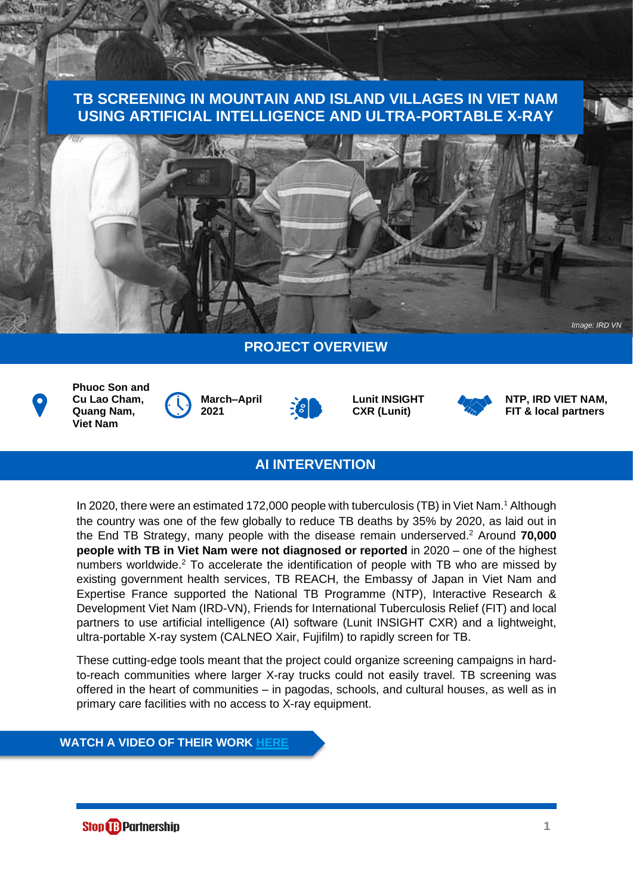# **TB SCREENING IN MOUNTAIN AND ISLAND VILLAGES IN VIET NAM USING ARTIFICIAL INTELLIGENCE AND ULTRA-PORTABLE X-RAY**



# **PROJECT OVERVIEW**



**Phuoc Son and Cu Lao Cham, Quang Nam, Viet Nam**









**NTP, IRD VIET NAM, FIT & local partners**

## **AI INTERVENTION**

In 2020, there were an estimated 172,000 people with tuberculosis (TB) in Viet Nam.<sup>1</sup> Although the country was one of the few globally to reduce TB deaths by 35% by 2020, as laid out in the End TB Strategy, many people with the disease remain underserved. <sup>2</sup> Around **70,000 people with TB in Viet Nam were not diagnosed or reported** in 2020 – one of the highest numbers worldwide. <sup>2</sup> To accelerate the identification of people with TB who are missed by existing government health services, TB REACH, the Embassy of Japan in Viet Nam and Expertise France supported the National TB Programme (NTP), Interactive Research & Development Viet Nam (IRD-VN), Friends for International Tuberculosis Relief (FIT) and local partners to use artificial intelligence (AI) software (Lunit INSIGHT CXR) and a lightweight, ultra-portable X-ray system (CALNEO Xair, Fujifilm) to rapidly screen for TB.

These cutting-edge tools meant that the project could organize screening campaigns in hardto-reach communities where larger X-ray trucks could not easily travel. TB screening was offered in the heart of communities – in pagodas, schools, and cultural houses, as well as in primary care facilities with no access to X-ray equipment.

#### **WATCH A VIDEO OF THEIR WORK [HERE](https://www.youtube.com/watch?v=TrcQP6GZnxI)**

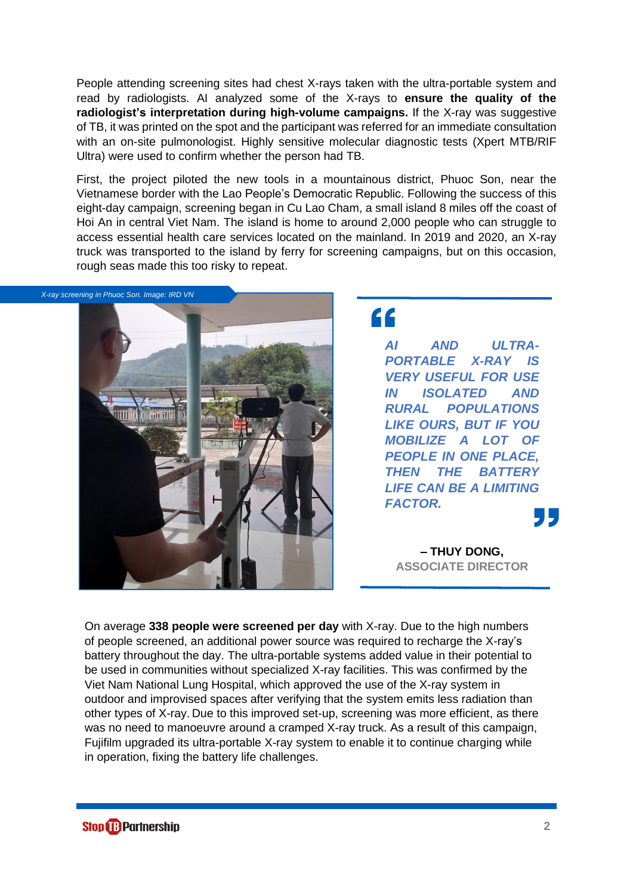People attending screening sites had chest X-rays taken with the ultra-portable system and read by radiologists. AI analyzed some of the X-rays to **ensure the quality of the radiologist's interpretation during high-volume campaigns.** If the X-ray was suggestive of TB, it was printed on the spot and the participant was referred for an immediate consultation with an on-site pulmonologist. Highly sensitive molecular diagnostic tests (Xpert MTB/RIF Ultra) were used to confirm whether the person had TB.

First, the project piloted the new tools in a mountainous district, Phuoc Son, near the Vietnamese border with the Lao People's Democratic Republic. Following the success of this eight-day campaign, screening began in Cu Lao Cham, a small island 8 miles off the coast of Hoi An in central Viet Nam. The island is home to around 2,000 people who can struggle to access essential health care services located on the mainland. In 2019 and 2020, an X-ray truck was transported to the island by ferry for screening campaigns, but on this occasion, rough seas made this too risky to repeat.



"

*AI AND ULTRA-PORTABLE X-RAY IS VERY USEFUL FOR USE IN ISOLATED AND RURAL POPULATIONS LIKE OURS, BUT IF YOU MOBILIZE A LOT OF PEOPLE IN ONE PLACE, THEN THE BATTERY LIFE CAN BE A LIMITING FACTOR.*

**– THUY DONG, ASSOCIATE DIRECTOR**

On average **338 people were screened per day** with X-ray. Due to the high numbers of people screened, an additional power source was required to recharge the X-ray's battery throughout the day. The ultra-portable systems added value in their potential to be used in communities without specialized X-ray facilities. This was confirmed by the Viet Nam National Lung Hospital, which approved the use of the X-ray system in outdoor and improvised spaces after verifying that the system emits less radiation than other types of X-ray. Due to this improved set-up, screening was more efficient, as there was no need to manoeuvre around a cramped X-ray truck. As a result of this campaign, Fujifilm upgraded its ultra-portable X-ray system to enable it to continue charging while in operation, fixing the battery life challenges.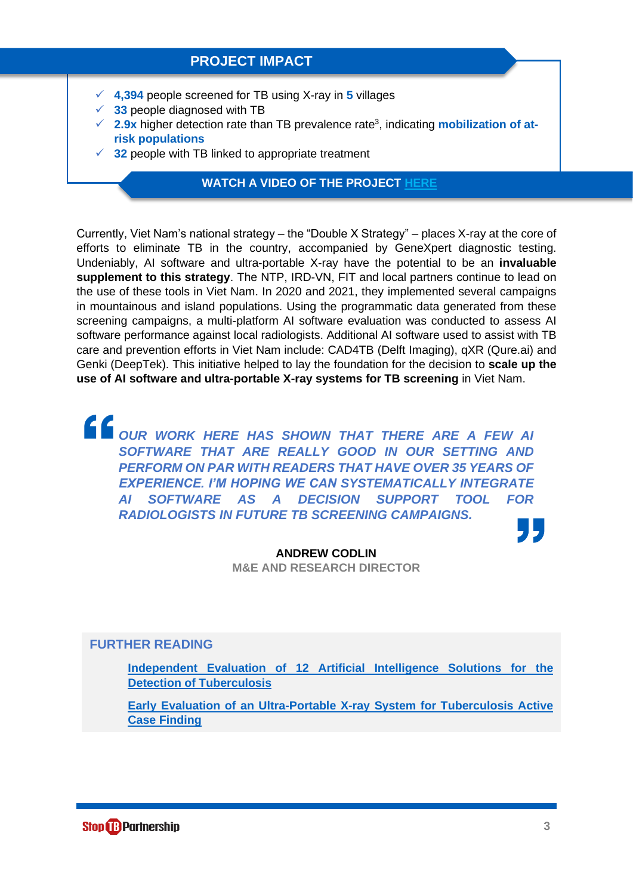### **PROJECT IMPACT**

- ✓ **4,394** people screened for TB using X-ray in **5** villages
- $\checkmark$  **33** people diagnosed with TB
- ✓ **2.9x** higher detection rate than TB prevalence rate<sup>3</sup> , indicating **mobilization of atrisk populations**
- $\checkmark$  **32** people with TB linked to appropriate treatment

### **WATCH A VIDEO OF THE PROJECT [HERE](https://www.youtube.com/watch?v=JOpQ4Rz6TbE)**

Currently, Viet Nam's national strategy – the "Double X Strategy" – places X-ray at the core of efforts to eliminate TB in the country, accompanied by GeneXpert diagnostic testing. Undeniably, AI software and ultra-portable X-ray have the potential to be an **invaluable supplement to this strategy**. The NTP, IRD-VN, FIT and local partners continue to lead on the use of these tools in Viet Nam. In 2020 and 2021, they implemented several campaigns in mountainous and island populations. Using the programmatic data generated from these screening campaigns, a multi-platform AI software evaluation was conducted to assess AI software performance against local radiologists. Additional AI software used to assist with TB care and prevention efforts in Viet Nam include: CAD4TB (Delft Imaging), qXR (Qure.ai) and Genki (DeepTek). This initiative helped to lay the foundation for the decision to **scale up the use of AI software and ultra-portable X-ray systems for TB screening** in Viet Nam.

**COUR WORK HERE HAS SHOWN THAT THERE ARE A FEW AIR COUR WORK HERE HAS SHOWN THAT THERE ARE A FEW AIR** *SOFTWARE THAT ARE REALLY GOOD IN OUR SETTING AND PERFORM ON PAR WITH READERS THAT HAVE OVER 35 YEARS OF EXPERIENCE. I'M HOPING WE CAN SYSTEMATICALLY INTEGRATE AI SOFTWARE AS A DECISION SUPPORT TOOL FOR RADIOLOGISTS IN FUTURE TB SCREENING CAMPAIGNS.*

**ANDREW CODLIN M&E AND RESEARCH DIRECTOR**

### **FURTHER READING**

**[Independent Evaluation](https://www.nature.com/articles/s41598-019-51503-3) of 12 Artificial Intelligence Solutions for the Detection of Tuberculosis**

**[Early Evaluation of an Ultra-Portable X-ray System for Tuberculosis Active](https://www.mdpi.com/2414-6366/6/3/163)  [Case Finding](https://www.mdpi.com/2414-6366/6/3/163)**